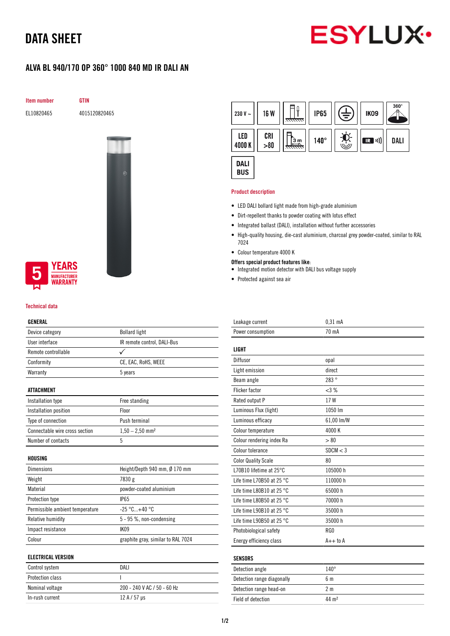## DATA SHEET



### ALVA BL 940/170 OP 360° 1000 840 MD IR DALI AN

Item number GTIN

EL10820465 4015120820465



### **YEARS IUFACTURER** *NARRANTY*

#### Technical data

#### GENERAL

| Device category                 | <b>Bollard light</b>               |
|---------------------------------|------------------------------------|
| User interface                  | IR remote control, DALI-Bus        |
| Remote controllable             | ✓                                  |
| Conformity                      | CE, EAC, RoHS, WEEE                |
| Warranty                        | 5 years                            |
|                                 |                                    |
| <b>ATTACHMENT</b>               |                                    |
| Installation type               | Free standing                      |
| Installation position           | Floor                              |
| Type of connection              | Push terminal                      |
| Connectable wire cross section  | $1,50 - 2,50$ mm <sup>2</sup>      |
| Number of contacts              | 5                                  |
|                                 |                                    |
| HOUSING                         |                                    |
| <b>Dimensions</b>               | Height/Depth 940 mm, Ø 170 mm      |
| Weight                          | 7830 g                             |
| Material                        | powder-coated aluminium            |
| Protection type                 | <b>IP65</b>                        |
| Permissible ambient temperature | $-25 °C+40 °C$                     |
| Relative humidity               | 5 - 95 %, non-condensing           |
| Impact resistance               | IK09                               |
| Colour                          | graphite gray, similar to RAL 7024 |
|                                 |                                    |
| <b>ELECTRICAL VERSION</b>       |                                    |
| Control system                  | DALI                               |
| Protection class                | I                                  |

Nominal voltage 200 - 240 V AC / 50 - 60 Hz

In-rush current  $12 A / 57 \mu s$ 



#### Product description

- LED DALI bollard light made from high-grade aluminium
- Dirt-repellent thanks to powder coating with lotus effect
- Integrated ballast (DALI), installation without further accessories
- High-quality housing, die-cast aluminium, charcoal grey powder-coated, similar to RAL 7024
- Colour temperature 4000 K
- Offers special product features like:
- Integrated motion detector with DALI bus voltage supply
- Protected against sea air

| Leakage current                     | $0.31$ mA      |
|-------------------------------------|----------------|
| Power consumption                   | 70 mA          |
|                                     |                |
| <b>LIGHT</b>                        |                |
| Diffusor                            | opal           |
| Light emission                      | direct         |
| Beam angle                          | 283°           |
| <b>Flicker factor</b>               | <3%            |
| Rated output P                      | 17W            |
| Luminous Flux (light)               | 1050 lm        |
| Luminous efficacy                   | 61,00 lm/W     |
| Colour temperature                  | 4000 K         |
| Colour rendering index Ra           | > 80           |
| Colour tolerance                    | SDCM < 3       |
| <b>Color Quality Scale</b>          | 80             |
| L70B10 lifetime at 25°C             | 105000 h       |
| Life time L70B50 at 25 $^{\circ}$ C | 110000h        |
| Life time L80B10 at 25 $^{\circ}$ C | 65000h         |
| Life time L80B50 at 25 $^{\circ}$ C | 70000 h        |
| Life time L90B10 at 25 °C           | 35000h         |
| Life time L90B50 at 25 °C           | 35000h         |
| Photobiological safety              | RG0            |
| Energy efficiency class             | $A++$ to $A$   |
|                                     |                |
| <b>SENSORS</b>                      |                |
| Detection angle                     | $140^\circ$    |
| Detection range diagonally          | 6 <sub>m</sub> |
| Detection range head-on             | 2 <sub>m</sub> |

Field of detection 44 m<sup>2</sup>